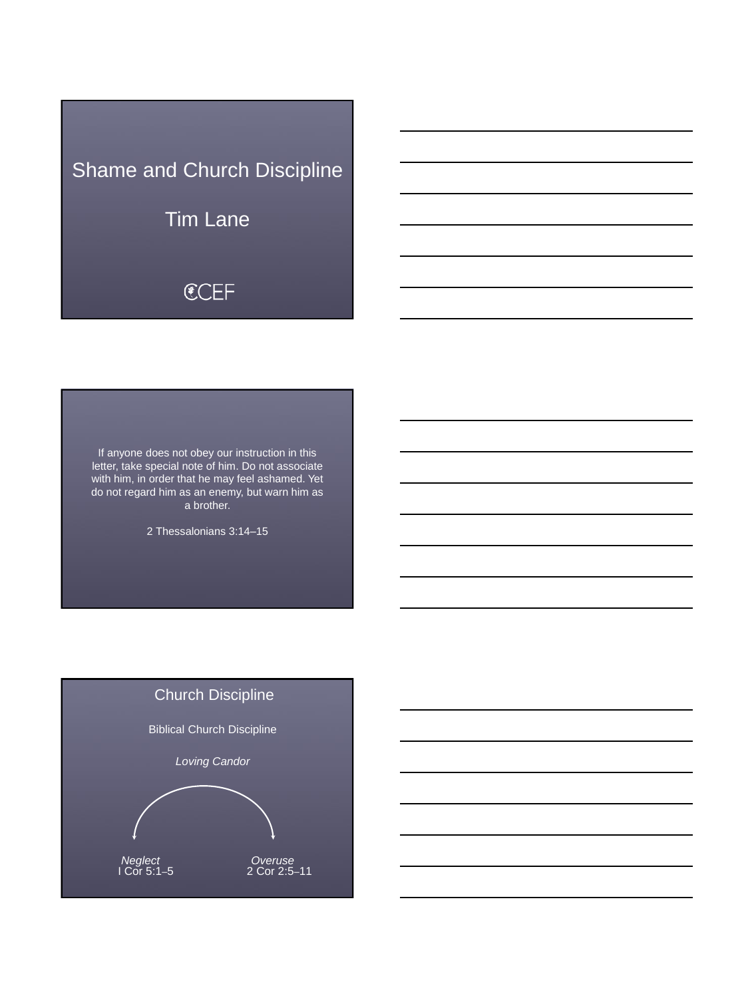# Shame and Church Discipline

Tim Lane

# **€CEF**

If anyone does not obey our instruction in this letter, take special note of him. Do not associate with him, in order that he may feel ashamed. Yet do not regard him as an enemy, but warn him as a brother.

2 Thessalonians 3:14–15

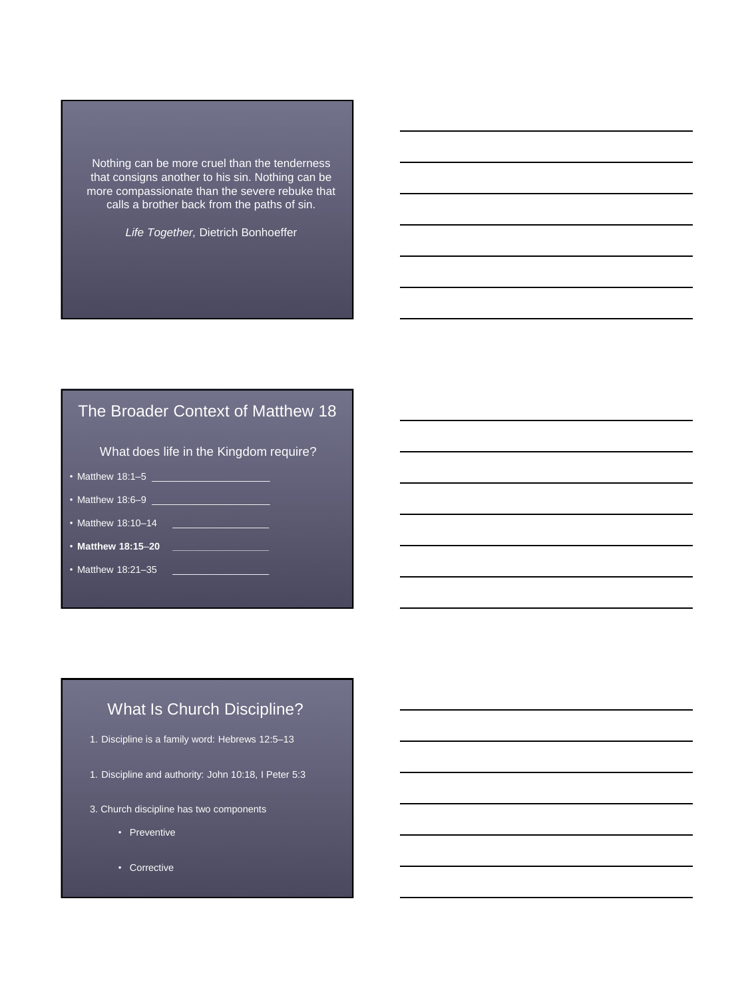Nothing can be more cruel than the tenderness that consigns another to his sin. Nothing can be more compassionate than the severe rebuke that calls a brother back from the paths of sin.

*Life Together,* Dietrich Bonhoeffer

# The Broader Context of Matthew 18

What does life in the Kingdom require?

- Matthew 18:1–5 \_\_\_\_\_\_\_\_\_\_\_\_\_\_\_\_\_\_\_\_\_\_
- Matthew  $18:6-9$
- Matthew 18:10–14 \_\_\_\_\_\_\_\_\_\_\_\_\_\_\_\_\_\_
- **Matthew 18:15**–**20 \_\_\_\_\_\_\_\_\_\_\_\_\_\_\_\_\_\_**
- Matthew 18:21-35

# What Is Church Discipline?

- 1. Discipline is a family word: Hebrews 12:5–13
- 1. Discipline and authority: John 10:18, I Peter 5:3
- 3. Church discipline has two components
	- Preventive
	- Corrective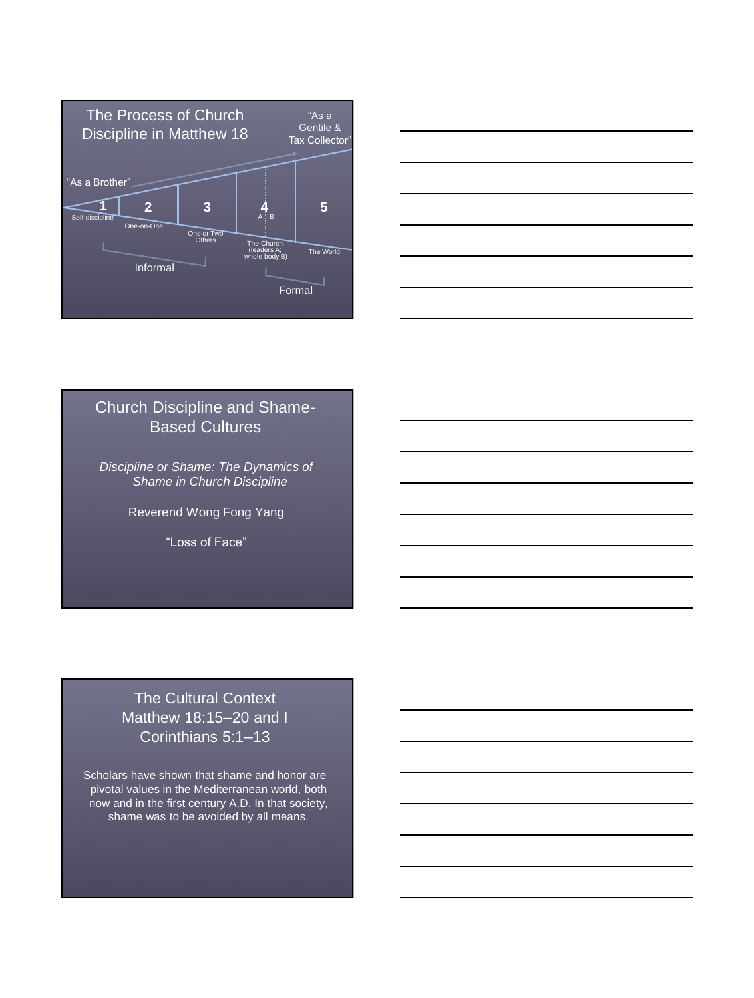



#### Church Discipline and Shame-Based Cultures

*Discipline or Shame: The Dynamics of Shame in Church Discipline*

Reverend Wong Fong Yang

"Loss of Face"

# The Cultural Context Matthew 18:15–20 and I Corinthians 5:1–13

Scholars have shown that shame and honor are pivotal values in the Mediterranean world, both now and in the first century A.D. In that society, shame was to be avoided by all means.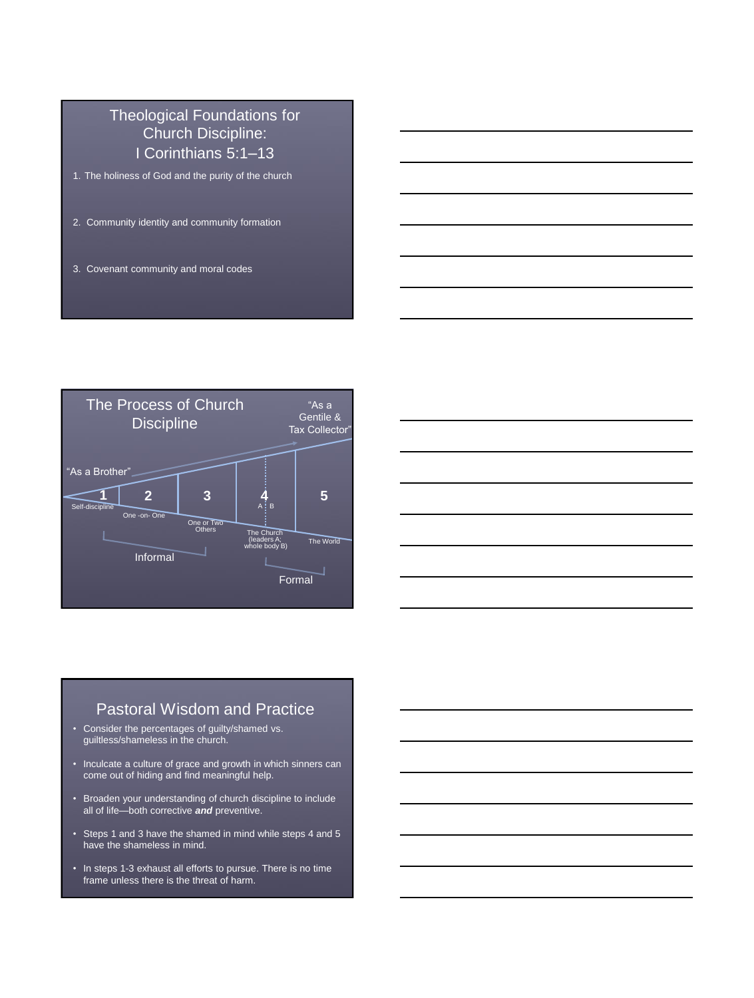### Theological Foundations for Church Discipline: I Corinthians 5:1–13

- 1. The holiness of God and the purity of the church
- 2. Community identity and community formation
- 3. Covenant community and moral codes





#### Pastoral Wisdom and Practice

- Consider the percentages of guilty/shamed vs. guiltless/shameless in the church.
- Inculcate a culture of grace and growth in which sinners can come out of hiding and find meaningful help.
- Broaden your understanding of church discipline to include all of life—both corrective *and* preventive.
- Steps 1 and 3 have the shamed in mind while steps 4 and 5 have the shameless in mind.
- In steps 1-3 exhaust all efforts to pursue. There is no time frame unless there is the threat of harm.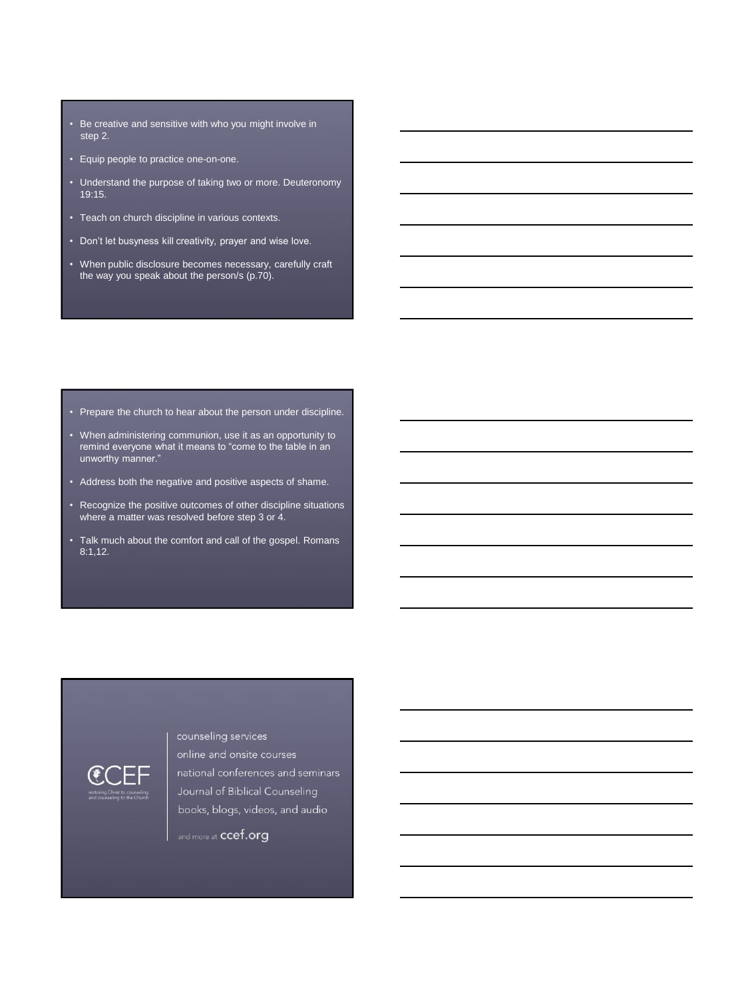- Be creative and sensitive with who you might involve in step 2.
- Equip people to practice one-on-one.
- Understand the purpose of taking two or more. Deuteronomy 19:15.
- Teach on church discipline in various contexts.
- Don't let busyness kill creativity, prayer and wise love.
- When public disclosure becomes necessary, carefully craft the way you speak about the person/s (p.70).

- Prepare the church to hear about the person under discipline.
- When administering communion, use it as an opportunity to remind everyone what it means to "come to the table in an unworthy manner."
- Address both the negative and positive aspects of shame.
- Recognize the positive outcomes of other discipline situations where a matter was resolved before step 3 or 4.
- Talk much about the comfort and call of the gospel. Romans 8:1,12.



online and onsite courses national conferences and seminars Journal of Biblical Counseling books, blogs, videos, and audio

and more at **ccef.org** 

counseling services